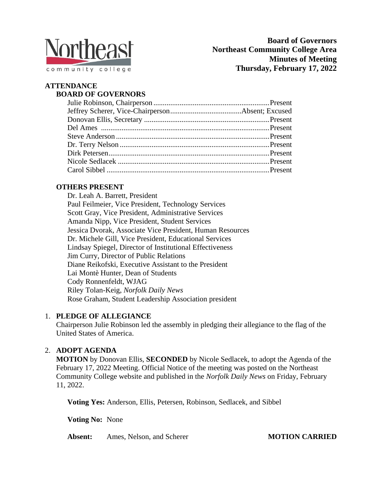

#### **ATTENDANCE BOARD OF GOVERNORS**

# **OTHERS PRESENT**

Dr. Leah A. Barrett, President Paul Feilmeier, Vice President, Technology Services Scott Gray, Vice President, Administrative Services Amanda Nipp, Vice President, Student Services Jessica Dvorak, Associate Vice President, Human Resources Dr. Michele Gill, Vice President, Educational Services Lindsay Spiegel, Director of Institutional Effectiveness Jim Curry, Director of Public Relations Diane Reikofski, Executive Assistant to the President Lai Montè Hunter, Dean of Students Cody Ronnenfeldt, WJAG Riley Tolan-Keig, *Norfolk Daily News* Rose Graham, Student Leadership Association president

# 1. **PLEDGE OF ALLEGIANCE**

Chairperson Julie Robinson led the assembly in pledging their allegiance to the flag of the United States of America.

# 2. **ADOPT AGENDA**

**MOTION** by Donovan Ellis, **SECONDED** by Nicole Sedlacek, to adopt the Agenda of the February 17, 2022 Meeting. Official Notice of the meeting was posted on the Northeast Community College website and published in the *Norfolk Daily News* on Friday, February 11, 2022.

**Voting Yes:** Anderson, Ellis, Petersen, Robinson, Sedlacek, and Sibbel

**Voting No:** None

**Absent:** Ames, Nelson, and Scherer **MOTION CARRIED**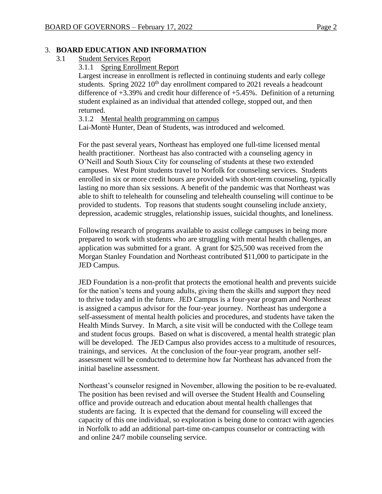#### 3. **BOARD EDUCATION AND INFORMATION**

3.1 Student Services Report

#### 3.1.1 Spring Enrollment Report

Largest increase in enrollment is reflected in continuing students and early college students. Spring 2022 10<sup>th</sup> day enrollment compared to 2021 reveals a headcount difference of +3.39% and credit hour difference of +5.45%. Definition of a returning student explained as an individual that attended college, stopped out, and then returned.

3.1.2 Mental health programming on campus

Lai-Montè Hunter, Dean of Students, was introduced and welcomed.

For the past several years, Northeast has employed one full-time licensed mental health practitioner. Northeast has also contracted with a counseling agency in O'Neill and South Sioux City for counseling of students at these two extended campuses. West Point students travel to Norfolk for counseling services. Students enrolled in six or more credit hours are provided with short-term counseling, typically lasting no more than six sessions. A benefit of the pandemic was that Northeast was able to shift to telehealth for counseling and telehealth counseling will continue to be provided to students. Top reasons that students sought counseling include anxiety, depression, academic struggles, relationship issues, suicidal thoughts, and loneliness.

Following research of programs available to assist college campuses in being more prepared to work with students who are struggling with mental health challenges, an application was submitted for a grant. A grant for \$25,500 was received from the Morgan Stanley Foundation and Northeast contributed \$11,000 to participate in the JED Campus.

JED Foundation is a non-profit that protects the emotional health and prevents suicide for the nation's teens and young adults, giving them the skills and support they need to thrive today and in the future. JED Campus is a four-year program and Northeast is assigned a campus advisor for the four-year journey. Northeast has undergone a self-assessment of mental health policies and procedures, and students have taken the Health Minds Survey. In March, a site visit will be conducted with the College team and student focus groups. Based on what is discovered, a mental health strategic plan will be developed. The JED Campus also provides access to a multitude of resources, trainings, and services. At the conclusion of the four-year program, another selfassessment will be conducted to determine how far Northeast has advanced from the initial baseline assessment.

Northeast's counselor resigned in November, allowing the position to be re-evaluated. The position has been revised and will oversee the Student Health and Counseling office and provide outreach and education about mental health challenges that students are facing. It is expected that the demand for counseling will exceed the capacity of this one individual, so exploration is being done to contract with agencies in Norfolk to add an additional part-time on-campus counselor or contracting with and online 24/7 mobile counseling service.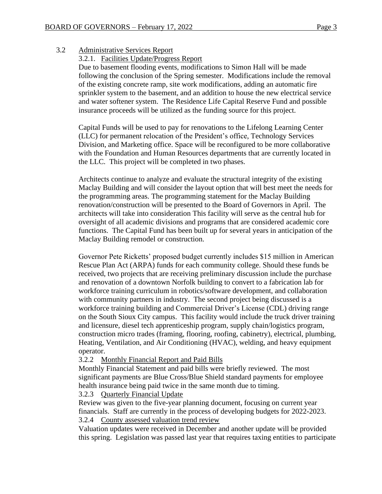3.2 Administrative Services Report

3.2.1. Facilities Update/Progress Report

Due to basement flooding events, modifications to Simon Hall will be made following the conclusion of the Spring semester. Modifications include the removal of the existing concrete ramp, site work modifications, adding an automatic fire sprinkler system to the basement, and an addition to house the new electrical service and water softener system. The Residence Life Capital Reserve Fund and possible insurance proceeds will be utilized as the funding source for this project.

Capital Funds will be used to pay for renovations to the Lifelong Learning Center (LLC) for permanent relocation of the President's office, Technology Services Division, and Marketing office. Space will be reconfigured to be more collaborative with the Foundation and Human Resources departments that are currently located in the LLC. This project will be completed in two phases.

Architects continue to analyze and evaluate the structural integrity of the existing Maclay Building and will consider the layout option that will best meet the needs for the programming areas. The programming statement for the Maclay Building renovation/construction will be presented to the Board of Governors in April. The architects will take into consideration This facility will serve as the central hub for oversight of all academic divisions and programs that are considered academic core functions. The Capital Fund has been built up for several years in anticipation of the Maclay Building remodel or construction.

Governor Pete Ricketts' proposed budget currently includes \$15 million in American Rescue Plan Act (ARPA) funds for each community college. Should these funds be received, two projects that are receiving preliminary discussion include the purchase and renovation of a downtown Norfolk building to convert to a fabrication lab for workforce training curriculum in robotics/software development, and collaboration with community partners in industry. The second project being discussed is a workforce training building and Commercial Driver's License (CDL) driving range on the South Sioux City campus. This facility would include the truck driver training and licensure, diesel tech apprenticeship program, supply chain/logistics program, construction micro trades (framing, flooring, roofing, cabinetry), electrical, plumbing, Heating, Ventilation, and Air Conditioning (HVAC), welding, and heavy equipment operator.

3.2.2 Monthly Financial Report and Paid Bills

Monthly Financial Statement and paid bills were briefly reviewed. The most significant payments are Blue Cross/Blue Shield standard payments for employee health insurance being paid twice in the same month due to timing.

### 3.2.3 Quarterly Financial Update

Review was given to the five-year planning document, focusing on current year financials. Staff are currently in the process of developing budgets for 2022-2023. 3.2.4 County assessed valuation trend review

Valuation updates were received in December and another update will be provided this spring. Legislation was passed last year that requires taxing entities to participate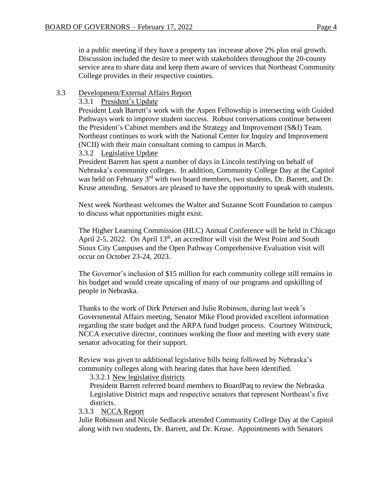in a public meeting if they have a property tax increase above 2% plus real growth. Discussion included the desire to meet with stakeholders throughout the 20-county service area to share data and keep them aware of services that Northeast Community College provides in their respective counties.

#### 3.3 Development/External Affairs Report

#### 3.3.1 President's Update

President Leah Barrett's work with the Aspen Fellowship is intersecting with Guided Pathways work to improve student success. Robust conversations continue between the President's Cabinet members and the Strategy and Improvement (S&I) Team. Northeast continues to work with the National Center for Inquiry and Improvement (NCII) with their main consultant coming to campus in March.

#### 3.3.2 Legislative Update

President Barrett has spent a number of days in Lincoln testifying on behalf of Nebraska's community colleges. In addition, Community College Day at the Capitol was held on February 3<sup>rd</sup> with two board members, two students, Dr. Barrett, and Dr. Kruse attending. Senators are pleased to have the opportunity to speak with students.

Next week Northeast welcomes the Walter and Suzanne Scott Foundation to campus to discuss what opportunities might exist.

The Higher Learning Commission (HLC) Annual Conference will be held in Chicago April 2-5, 2022. On April  $13<sup>th</sup>$ , an accreditor will visit the West Point and South Sioux City Campuses and the Open Pathway Comprehensive Evaluation visit will occur on October 23-24, 2023.

The Governor's inclusion of \$15 million for each community college still remains in his budget and would create upscaling of many of our programs and upskilling of people in Nebraska.

Thanks to the work of Dirk Petersen and Julie Robinson, during last week's Governmental Affairs meeting, Senator Mike Flood provided excellent information regarding the state budget and the ARPA fund budget process. Courtney Wittstruck, NCCA executive director, continues working the floor and meeting with every state senator advocating for their support.

Review was given to additional legislative bills being followed by Nebraska's community colleges along with hearing dates that have been identified.

3.3.2.1 New legislative districts

President Barrett referred board members to BoardPaq to review the Nebraska Legislative District maps and respective senators that represent Northeast's five districts.

3.3.3 NCCA Report

Julie Robinson and Nicole Sedlacek attended Community College Day at the Capitol along with two students, Dr. Barrett, and Dr. Kruse. Appointments with Senators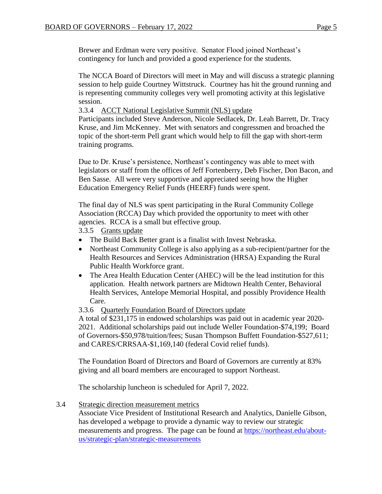Brewer and Erdman were very positive. Senator Flood joined Northeast's contingency for lunch and provided a good experience for the students.

The NCCA Board of Directors will meet in May and will discuss a strategic planning session to help guide Courtney Wittstruck. Courtney has hit the ground running and is representing community colleges very well promoting activity at this legislative session.

3.3.4 ACCT National Legislative Summit (NLS) update

Participants included Steve Anderson, Nicole Sedlacek, Dr. Leah Barrett, Dr. Tracy Kruse, and Jim McKenney. Met with senators and congressmen and broached the topic of the short-term Pell grant which would help to fill the gap with short-term training programs.

Due to Dr. Kruse's persistence, Northeast's contingency was able to meet with legislators or staff from the offices of Jeff Fortenberry, Deb Fischer, Don Bacon, and Ben Sasse. All were very supportive and appreciated seeing how the Higher Education Emergency Relief Funds (HEERF) funds were spent.

The final day of NLS was spent participating in the Rural Community College Association (RCCA) Day which provided the opportunity to meet with other agencies. RCCA is a small but effective group.

3.3.5 Grants update

- The Build Back Better grant is a finalist with Invest Nebraska.
- Northeast Community College is also applying as a sub-recipient/partner for the Health Resources and Services Administration (HRSA) Expanding the Rural Public Health Workforce grant.
- The Area Health Education Center (AHEC) will be the lead institution for this application. Health network partners are Midtown Health Center, Behavioral Health Services, Antelope Memorial Hospital, and possibly Providence Health Care.

3.3.6 Quarterly Foundation Board of Directors update

A total of \$231,175 in endowed scholarships was paid out in academic year 2020- 2021. Additional scholarships paid out include Weller Foundation-\$74,199; Board of Governors-\$50,978/tuition/fees; Susan Thompson Buffett Foundation-\$527,611; and CARES/CRRSAA-\$1,169,140 (federal Covid relief funds).

The Foundation Board of Directors and Board of Governors are currently at 83% giving and all board members are encouraged to support Northeast.

The scholarship luncheon is scheduled for April 7, 2022.

3.4 Strategic direction measurement metrics

Associate Vice President of Institutional Research and Analytics, Danielle Gibson, has developed a webpage to provide a dynamic way to review our strategic measurements and progress. The page can be found at [https://northeast.edu/about](https://northeast.edu/about-us/strategic-plan/strategic-measurements)[us/strategic-plan/strategic-measurements](https://northeast.edu/about-us/strategic-plan/strategic-measurements)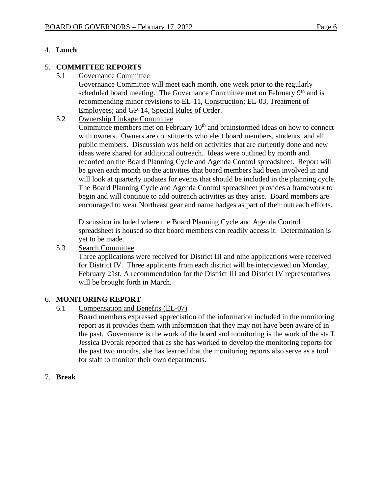# 4. **Lunch**

### 5. **COMMITTEE REPORTS**

5.1 Governance Committee

Governance Committee will meet each month, one week prior to the regularly scheduled board meeting. The Governance Committee met on February 9<sup>th</sup> and is recommending minor revisions to EL-11, Construction; EL-03, Treatment of Employees; and GP-14, Special Rules of Order.

5.2 Ownership Linkage Committee

Committee members met on February  $10<sup>th</sup>$  and brainstormed ideas on how to connect with owners. Owners are constituents who elect board members, students, and all public members. Discussion was held on activities that are currently done and new ideas were shared for additional outreach. Ideas were outlined by month and recorded on the Board Planning Cycle and Agenda Control spreadsheet. Report will be given each month on the activities that board members had been involved in and will look at quarterly updates for events that should be included in the planning cycle. The Board Planning Cycle and Agenda Control spreadsheet provides a framework to begin and will continue to add outreach activities as they arise. Board members are encouraged to wear Northeast gear and name badges as part of their outreach efforts.

Discussion included where the Board Planning Cycle and Agenda Control spreadsheet is housed so that board members can readily access it. Determination is yet to be made.

5.3 Search Committee

Three applications were received for District III and nine applications were received for District IV. Three applicants from each district will be interviewed on Monday, February 21st. A recommendation for the District III and District IV representatives will be brought forth in March.

### 6. **MONITORING REPORT**

6.1 Compensation and Benefits (EL-07)

Board members expressed appreciation of the information included in the monitoring report as it provides them with information that they may not have been aware of in the past. Governance is the work of the board and monitoring is the work of the staff. Jessica Dvorak reported that as she has worked to develop the monitoring reports for the past two months, she has learned that the monitoring reports also serve as a tool for staff to monitor their own departments.

7. **Break**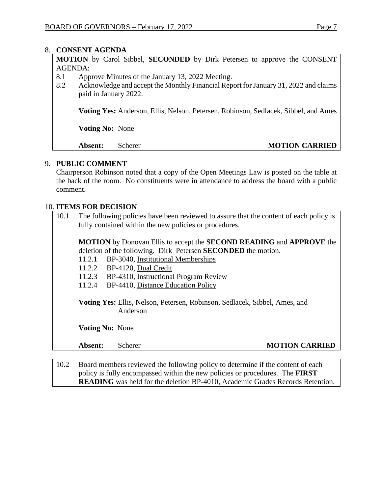### 8. **CONSENT AGENDA**

**MOTION** by Carol Sibbel, **SECONDED** by Dirk Petersen to approve the CONSENT AGENDA:

- 8.1 Approve Minutes of the January 13, 2022 Meeting.
- 8.2 Acknowledge and accept the Monthly Financial Report for January 31, 2022 and claims paid in January 2022.

**Voting Yes:** Anderson, Ellis, Nelson, Petersen, Robinson, Sedlacek, Sibbel, and Ames

**Voting No:** None

### **Absent:** Scherer **MOTION CARRIED**

### 9. **PUBLIC COMMENT**

Chairperson Robinson noted that a copy of the Open Meetings Law is posted on the table at the back of the room. No constituents were in attendance to address the board with a public comment.

### 10. **ITEMS FOR DECISION**

10.1 The following policies have been reviewed to assure that the content of each policy is fully contained within the new policies or procedures.

**MOTION** by Donovan Ellis to accept the **SECOND READING** and **APPROVE** the deletion of the following. Dirk Petersen **SECONDED** the motion.

- 11.2.1 BP-3040, Institutional Memberships
- 11.2.2 BP-4120, Dual Credit
- 11.2.3 BP-4310, Instructional Program Review
- 11.2.4 BP-4410, Distance Education Policy

**Voting Yes:** Ellis, Nelson, Petersen, Robinson, Sedlacek, Sibbel, Ames, and Anderson

**Voting No:** None

### **Absent:** Scherer **MOTION CARRIED**

10.2 Board members reviewed the following policy to determine if the content of each policy is fully encompassed within the new policies or procedures. The **FIRST READING** was held for the deletion BP-4010, Academic Grades Records Retention.